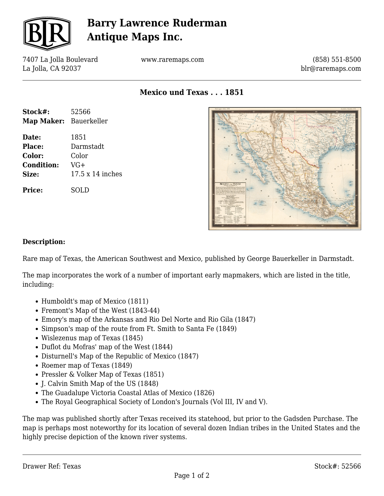

# **Barry Lawrence Ruderman Antique Maps Inc.**

7407 La Jolla Boulevard La Jolla, CA 92037

www.raremaps.com

(858) 551-8500 blr@raremaps.com

**Mexico und Texas . . . 1851**

| Stock#:                | 52566                   |
|------------------------|-------------------------|
| Map Maker: Bauerkeller |                         |
| Date:                  | 1851                    |
| <b>Place:</b>          | Darmstadt               |
| Color:                 | Color                   |
| <b>Condition:</b>      | $VG+$                   |
| Size:                  | $17.5 \times 14$ inches |
| Price:                 | SOLD                    |



#### **Description:**

Rare map of Texas, the American Southwest and Mexico, published by George Bauerkeller in Darmstadt.

The map incorporates the work of a number of important early mapmakers, which are listed in the title, including:

- Humboldt's map of Mexico (1811)
- Fremont's Map of the West (1843-44)
- Emory's map of the Arkansas and Rio Del Norte and Rio Gila (1847)
- Simpson's map of the route from Ft. Smith to Santa Fe (1849)
- Wislezenus map of Texas (1845)
- Duflot du Mofras' map of the West (1844)
- Disturnell's Map of the Republic of Mexico (1847)
- Roemer map of Texas (1849)
- Pressler & Volker Map of Texas (1851)
- J. Calvin Smith Map of the US (1848)
- The Guadalupe Victoria Coastal Atlas of Mexico (1826)
- The Royal Geographical Society of London's Journals (Vol III, IV and V).

The map was published shortly after Texas received its statehood, but prior to the Gadsden Purchase. The map is perhaps most noteworthy for its location of several dozen Indian tribes in the United States and the highly precise depiction of the known river systems.